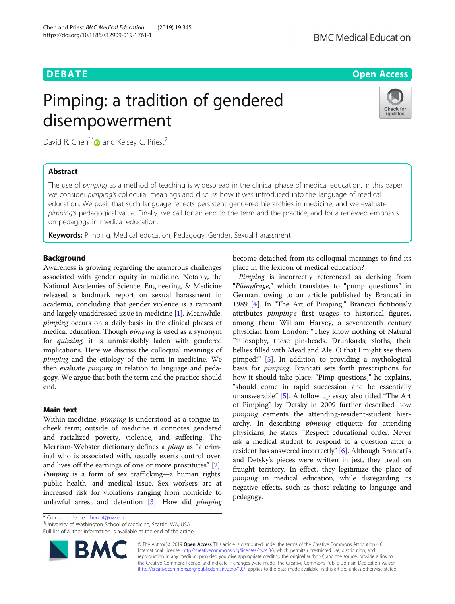# **DEBATE CONSERVATION DEBATE CONSERVATION**

# Pimping: a tradition of gendered disempowerment



David R. Chen<sup>1\*</sup> $\bullet$  and Kelsey C. Priest<sup>2</sup>

## Abstract

The use of pimping as a method of teaching is widespread in the clinical phase of medical education. In this paper we consider pimping's colloquial meanings and discuss how it was introduced into the language of medical education. We posit that such language reflects persistent gendered hierarchies in medicine, and we evaluate pimping's pedagogical value. Finally, we call for an end to the term and the practice, and for a renewed emphasis on pedagogy in medical education.

**Keywords:** Pimping, Medical education, Pedagogy, Gender, Sexual harassment

### Background

Awareness is growing regarding the numerous challenges associated with gender equity in medicine. Notably, the National Academies of Science, Engineering, & Medicine released a landmark report on sexual harassment in academia, concluding that gender violence is a rampant and largely unaddressed issue in medicine [\[1](#page-2-0)]. Meanwhile, pimping occurs on a daily basis in the clinical phases of medical education. Though pimping is used as a synonym for quizzing, it is unmistakably laden with gendered implications. Here we discuss the colloquial meanings of pimping and the etiology of the term in medicine. We then evaluate *pimping* in relation to language and pedagogy. We argue that both the term and the practice should end.

#### Main text

Within medicine, pimping is understood as a tongue-incheek term; outside of medicine it connotes gendered and racialized poverty, violence, and suffering. The Merriam-Webster dictionary defines a pimp as "a criminal who is associated with, usually exerts control over, and lives off the earnings of one or more prostitutes" [\[2](#page-2-0)]. Pimping is a form of sex trafficking—a human rights, public health, and medical issue. Sex workers are at increased risk for violations ranging from homicide to unlawful arrest and detention [\[3](#page-2-0)]. How did *pimping* 

become detached from its colloquial meanings to find its place in the lexicon of medical education?

Pimping is incorrectly referenced as deriving from "Pümpfrage," which translates to "pump questions" in German, owing to an article published by Brancati in 1989 [[4\]](#page-2-0). In "The Art of Pimping," Brancati fictitiously attributes *pimping's* first usages to historical figures, among them William Harvey, a seventeenth century physician from London: "They know nothing of Natural Philosophy, these pin-heads. Drunkards, sloths, their bellies filled with Mead and Ale. O that I might see them pimped!" [[5\]](#page-2-0). In addition to providing a mythological basis for pimping, Brancati sets forth prescriptions for how it should take place: "Pimp questions," he explains, "should come in rapid succession and be essentially unanswerable" [\[5](#page-2-0)]. A follow up essay also titled "The Art of Pimping" by Detsky in 2009 further described how pimping cements the attending-resident-student hierarchy. In describing *pimping* etiquette for attending physicians, he states: "Respect educational order. Never ask a medical student to respond to a question after a resident has answered incorrectly" [\[6\]](#page-2-0). Although Brancati's and Detsky's pieces were written in jest, they tread on fraught territory. In effect, they legitimize the place of pimping in medical education, while disregarding its negative effects, such as those relating to language and pedagogy.

\* Correspondence: [chend4@uw.edu](mailto:chend4@uw.edu) <sup>1</sup>

<sup>1</sup> University of Washington School of Medicine, Seattle, WA, USA Full list of author information is available at the end of the article



© The Author(s). 2019 **Open Access** This article is distributed under the terms of the Creative Commons Attribution 4.0 International License [\(http://creativecommons.org/licenses/by/4.0/](http://creativecommons.org/licenses/by/4.0/)), which permits unrestricted use, distribution, and reproduction in any medium, provided you give appropriate credit to the original author(s) and the source, provide a link to the Creative Commons license, and indicate if changes were made. The Creative Commons Public Domain Dedication waiver [\(http://creativecommons.org/publicdomain/zero/1.0/](http://creativecommons.org/publicdomain/zero/1.0/)) applies to the data made available in this article, unless otherwise stated.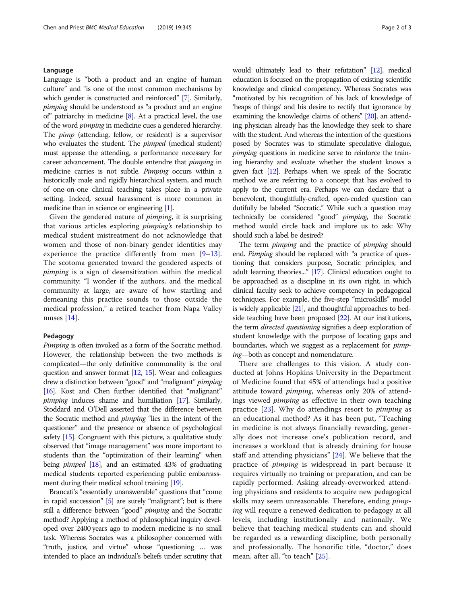#### Language

Language is "both a product and an engine of human culture" and "is one of the most common mechanisms by which gender is constructed and reinforced" [\[7\]](#page-2-0). Similarly, pimping should be understood as "a product and an engine of" patriarchy in medicine [[8](#page-2-0)]. At a practical level, the use of the word pimping in medicine cues a gendered hierarchy. The pimp (attending, fellow, or resident) is a supervisor who evaluates the student. The *pimped* (medical student) must appease the attending, a performance necessary for career advancement. The double entendre that pimping in medicine carries is not subtle. Pimping occurs within a historically male and rigidly hierarchical system, and much of one-on-one clinical teaching takes place in a private setting. Indeed, sexual harassment is more common in medicine than in science or engineering [\[1](#page-2-0)].

Given the gendered nature of pimping, it is surprising that various articles exploring pimping's relationship to medical student mistreatment do not acknowledge that women and those of non-binary gender identities may experience the practice differently from men [[9](#page-2-0)–[13](#page-2-0)]. The scotoma generated toward the gendered aspects of pimping is a sign of desensitization within the medical community: "I wonder if the authors, and the medical community at large, are aware of how startling and demeaning this practice sounds to those outside the medical profession," a retired teacher from Napa Valley muses [\[14](#page-2-0)].

#### Pedagogy

Pimping is often invoked as a form of the Socratic method. However, the relationship between the two methods is complicated—the only definitive commonality is the oral question and answer format [\[12](#page-2-0), [15](#page-2-0)]. Wear and colleagues drew a distinction between "good" and "malignant" *pimping* [[16](#page-2-0)]. Kost and Chen further identified that "malignant" pimping induces shame and humiliation [\[17\]](#page-2-0). Similarly, Stoddard and O'Dell asserted that the difference between the Socratic method and pimping "lies in the intent of the questioner" and the presence or absence of psychological safety [\[15](#page-2-0)]. Congruent with this picture, a qualitative study observed that "image management" was more important to students than the "optimization of their learning" when being *pimped* [\[18](#page-2-0)], and an estimated 43% of graduating medical students reported experiencing public embarrassment during their medical school training [[19](#page-2-0)].

Brancati's "essentially unanswerable" questions that "come in rapid succession" [\[5](#page-2-0)] are surely "malignant"; but is there still a difference between "good" *pimping* and the Socratic method? Applying a method of philosophical inquiry developed over 2400 years ago to modern medicine is no small task. Whereas Socrates was a philosopher concerned with "truth, justice, and virtue" whose "questioning … was intended to place an individual's beliefs under scrutiny that would ultimately lead to their refutation" [\[12](#page-2-0)], medical education is focused on the propagation of existing scientific knowledge and clinical competency. Whereas Socrates was "motivated by his recognition of his lack of knowledge of 'heaps of things' and his desire to rectify that ignorance by examining the knowledge claims of others" [[20\]](#page-2-0), an attending physician already has the knowledge they seek to share with the student. And whereas the intention of the questions posed by Socrates was to stimulate speculative dialogue, pimping questions in medicine serve to reinforce the training hierarchy and evaluate whether the student knows a given fact [[12\]](#page-2-0). Perhaps when we speak of the Socratic method we are referring to a concept that has evolved to apply to the current era. Perhaps we can declare that a benevolent, thoughtfully-crafted, open-ended question can dutifully be labeled "Socratic." While such a question may technically be considered "good" pimping, the Socratic method would circle back and implore us to ask: Why should such a label be desired?

The term *pimping* and the practice of *pimping* should end. Pimping should be replaced with "a practice of questioning that considers purpose, Socratic principles, and adult learning theories..." [[17\]](#page-2-0). Clinical education ought to be approached as a discipline in its own right, in which clinical faculty seek to achieve competency in pedagogical techniques. For example, the five-step "microskills" model is widely applicable [[21\]](#page-2-0), and thoughtful approaches to bedside teaching have been proposed [\[22](#page-2-0)]. At our institutions, the term directed questioning signifies a deep exploration of student knowledge with the purpose of locating gaps and boundaries, which we suggest as a replacement for *pimp*ing—both as concept and nomenclature.

There are challenges to this vision. A study conducted at Johns Hopkins University in the Department of Medicine found that 45% of attendings had a positive attitude toward pimping, whereas only 20% of attendings viewed pimping as effective in their own teaching practice [\[23](#page-2-0)]. Why do attendings resort to pimping as an educational method? As it has been put, "Teaching in medicine is not always financially rewarding, generally does not increase one's publication record, and increases a workload that is already draining for house staff and attending physicians" [[24](#page-2-0)]. We believe that the practice of pimping is widespread in part because it requires virtually no training or preparation, and can be rapidly performed. Asking already-overworked attending physicians and residents to acquire new pedagogical skills may seem unreasonable. Therefore, ending *pimp*ing will require a renewed dedication to pedagogy at all levels, including institutionally and nationally. We believe that teaching medical students can and should be regarded as a rewarding discipline, both personally and professionally. The honorific title, "doctor," does mean, after all, "to teach" [[25\]](#page-2-0).